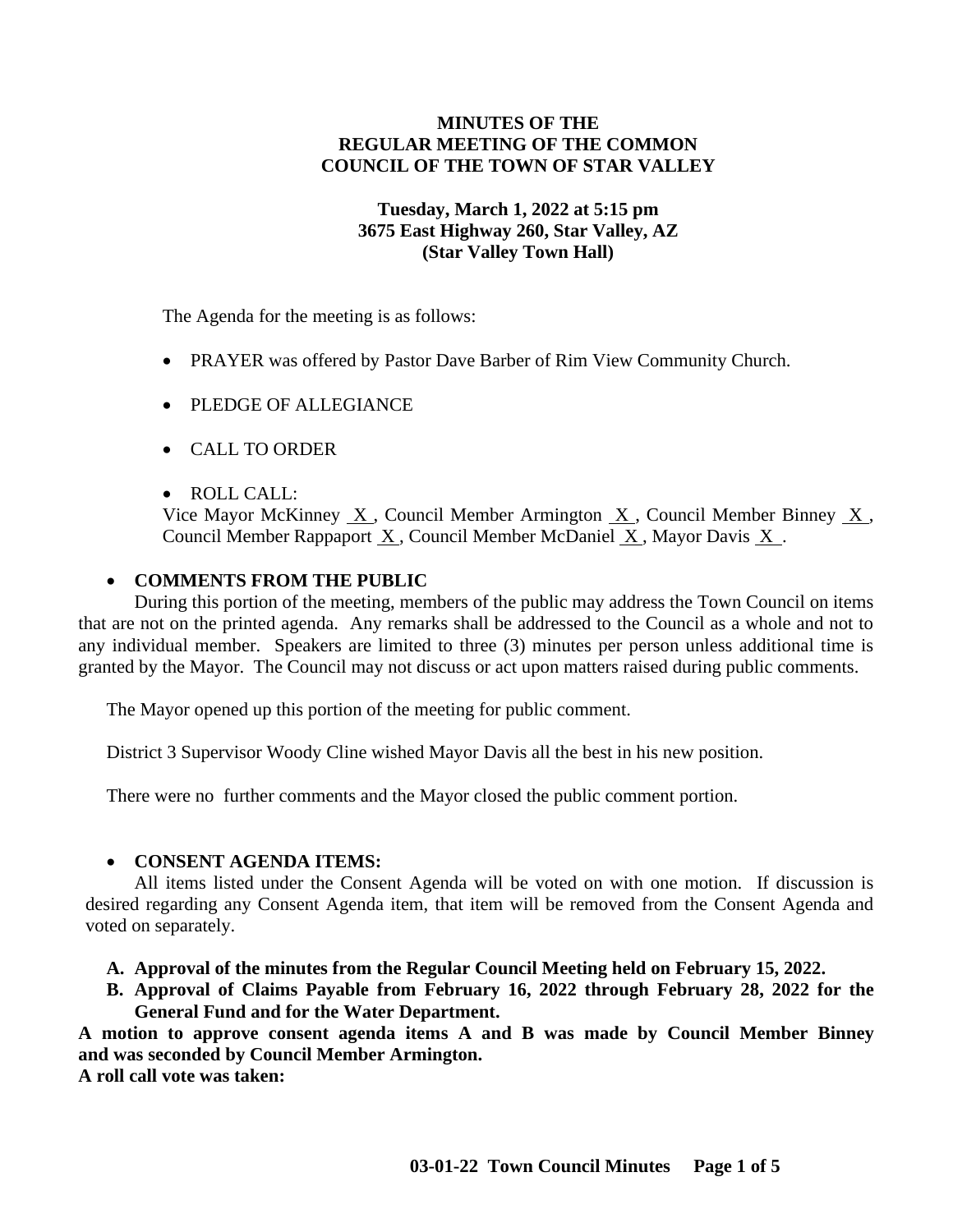# **MINUTES OF THE REGULAR MEETING OF THE COMMON COUNCIL OF THE TOWN OF STAR VALLEY**

## **Tuesday, March 1, 2022 at 5:15 pm 3675 East Highway 260, Star Valley, AZ (Star Valley Town Hall)**

The Agenda for the meeting is as follows:

- PRAYER was offered by Pastor Dave Barber of Rim View Community Church.
- PLEDGE OF ALLEGIANCE
- CALL TO ORDER
- ROLL CALL:

Vice Mayor McKinney X , Council Member Armington X , Council Member Binney X , Council Member Rappaport X , Council Member McDaniel X , Mayor Davis X .

# • **COMMENTS FROM THE PUBLIC**

During this portion of the meeting, members of the public may address the Town Council on items that are not on the printed agenda. Any remarks shall be addressed to the Council as a whole and not to any individual member. Speakers are limited to three (3) minutes per person unless additional time is granted by the Mayor. The Council may not discuss or act upon matters raised during public comments.

The Mayor opened up this portion of the meeting for public comment.

District 3 Supervisor Woody Cline wished Mayor Davis all the best in his new position.

There were no further comments and the Mayor closed the public comment portion.

# • **CONSENT AGENDA ITEMS:**

All items listed under the Consent Agenda will be voted on with one motion. If discussion is desired regarding any Consent Agenda item, that item will be removed from the Consent Agenda and voted on separately.

- **A. Approval of the minutes from the Regular Council Meeting held on February 15, 2022.**
- **B. Approval of Claims Payable from February 16, 2022 through February 28, 2022 for the General Fund and for the Water Department.**

**A motion to approve consent agenda items A and B was made by Council Member Binney and was seconded by Council Member Armington.**

**A roll call vote was taken:**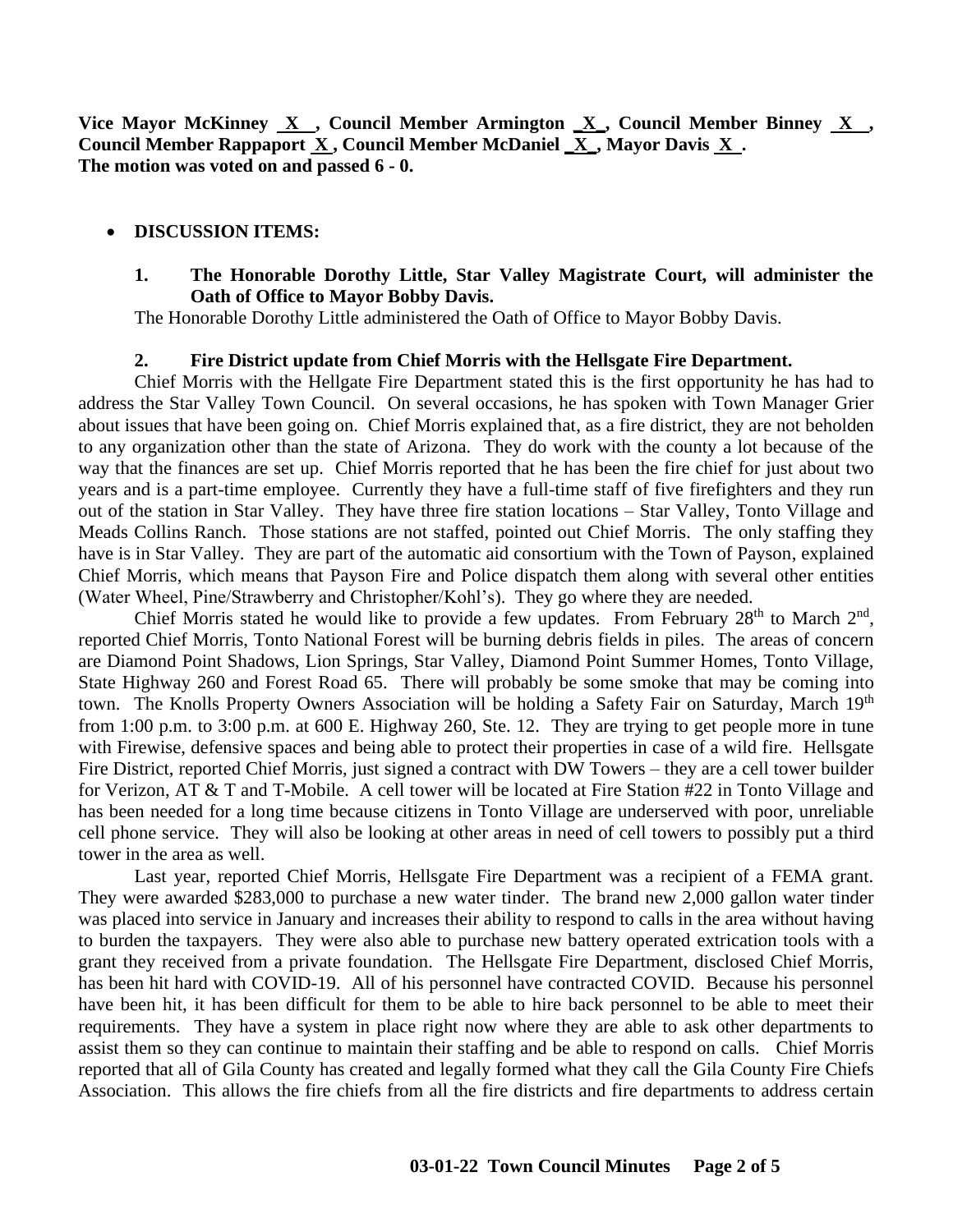**Vice Mayor McKinney X , Council Member Armington \_X\_, Council Member Binney X , Council Member Rappaport X , Council Member McDaniel \_X\_, Mayor Davis X . The motion was voted on and passed 6 - 0.**

### • **DISCUSSION ITEMS:**

### **1. The Honorable Dorothy Little, Star Valley Magistrate Court, will administer the Oath of Office to Mayor Bobby Davis.**

The Honorable Dorothy Little administered the Oath of Office to Mayor Bobby Davis.

#### **2. Fire District update from Chief Morris with the Hellsgate Fire Department.**

Chief Morris with the Hellgate Fire Department stated this is the first opportunity he has had to address the Star Valley Town Council. On several occasions, he has spoken with Town Manager Grier about issues that have been going on. Chief Morris explained that, as a fire district, they are not beholden to any organization other than the state of Arizona. They do work with the county a lot because of the way that the finances are set up. Chief Morris reported that he has been the fire chief for just about two years and is a part-time employee. Currently they have a full-time staff of five firefighters and they run out of the station in Star Valley. They have three fire station locations – Star Valley, Tonto Village and Meads Collins Ranch. Those stations are not staffed, pointed out Chief Morris. The only staffing they have is in Star Valley. They are part of the automatic aid consortium with the Town of Payson, explained Chief Morris, which means that Payson Fire and Police dispatch them along with several other entities (Water Wheel, Pine/Strawberry and Christopher/Kohl's). They go where they are needed.

Chief Morris stated he would like to provide a few updates. From February  $28<sup>th</sup>$  to March  $2<sup>nd</sup>$ , reported Chief Morris, Tonto National Forest will be burning debris fields in piles. The areas of concern are Diamond Point Shadows, Lion Springs, Star Valley, Diamond Point Summer Homes, Tonto Village, State Highway 260 and Forest Road 65. There will probably be some smoke that may be coming into town. The Knolls Property Owners Association will be holding a Safety Fair on Saturday, March 19<sup>th</sup> from 1:00 p.m. to 3:00 p.m. at 600 E. Highway 260, Ste. 12. They are trying to get people more in tune with Firewise, defensive spaces and being able to protect their properties in case of a wild fire. Hellsgate Fire District, reported Chief Morris, just signed a contract with DW Towers – they are a cell tower builder for Verizon, AT & T and T-Mobile. A cell tower will be located at Fire Station #22 in Tonto Village and has been needed for a long time because citizens in Tonto Village are underserved with poor, unreliable cell phone service. They will also be looking at other areas in need of cell towers to possibly put a third tower in the area as well.

Last year, reported Chief Morris, Hellsgate Fire Department was a recipient of a FEMA grant. They were awarded \$283,000 to purchase a new water tinder. The brand new 2,000 gallon water tinder was placed into service in January and increases their ability to respond to calls in the area without having to burden the taxpayers. They were also able to purchase new battery operated extrication tools with a grant they received from a private foundation. The Hellsgate Fire Department, disclosed Chief Morris, has been hit hard with COVID-19. All of his personnel have contracted COVID. Because his personnel have been hit, it has been difficult for them to be able to hire back personnel to be able to meet their requirements. They have a system in place right now where they are able to ask other departments to assist them so they can continue to maintain their staffing and be able to respond on calls. Chief Morris reported that all of Gila County has created and legally formed what they call the Gila County Fire Chiefs Association. This allows the fire chiefs from all the fire districts and fire departments to address certain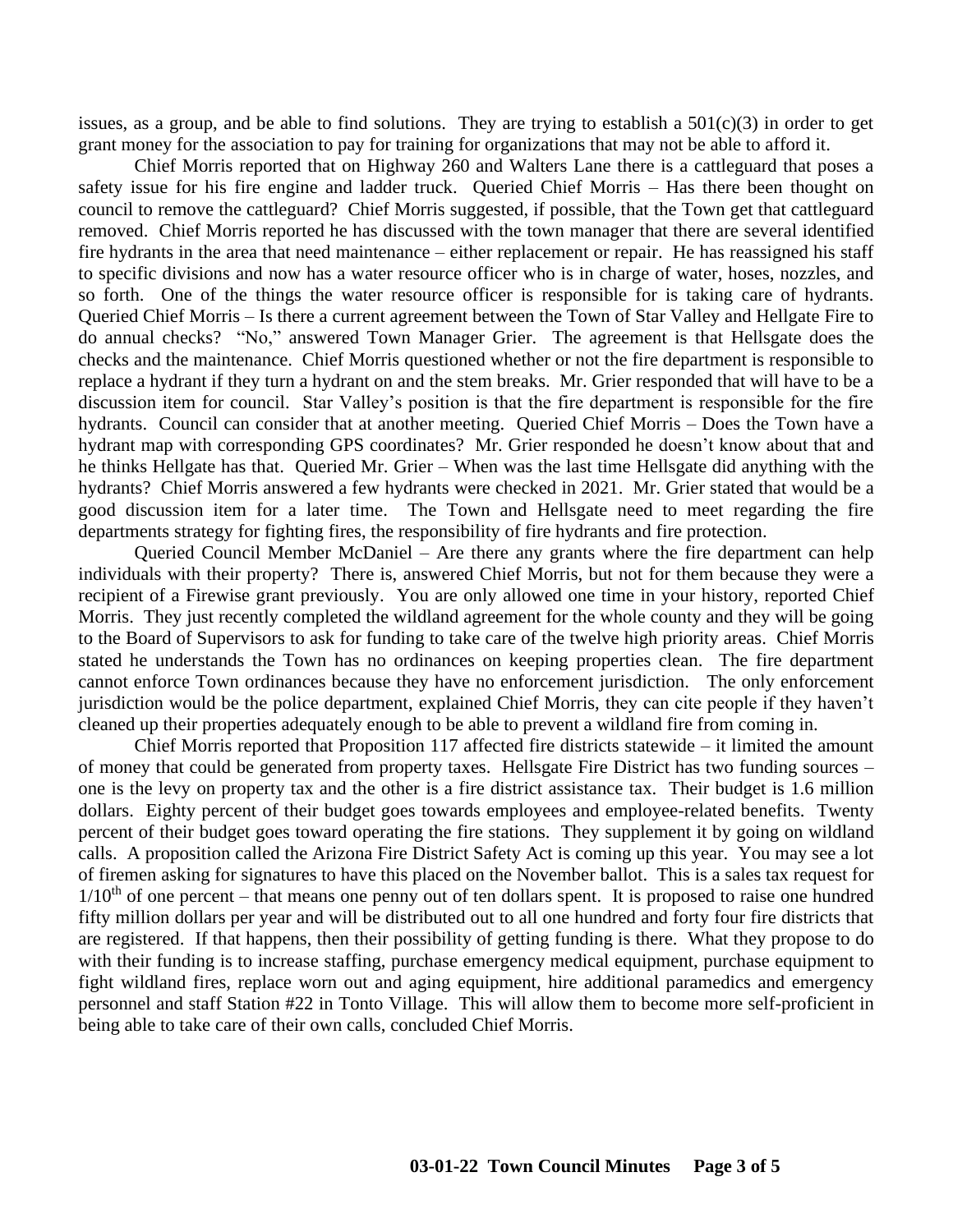issues, as a group, and be able to find solutions. They are trying to establish a  $501(c)(3)$  in order to get grant money for the association to pay for training for organizations that may not be able to afford it.

Chief Morris reported that on Highway 260 and Walters Lane there is a cattleguard that poses a safety issue for his fire engine and ladder truck. Queried Chief Morris – Has there been thought on council to remove the cattleguard? Chief Morris suggested, if possible, that the Town get that cattleguard removed. Chief Morris reported he has discussed with the town manager that there are several identified fire hydrants in the area that need maintenance – either replacement or repair. He has reassigned his staff to specific divisions and now has a water resource officer who is in charge of water, hoses, nozzles, and so forth. One of the things the water resource officer is responsible for is taking care of hydrants. Queried Chief Morris – Is there a current agreement between the Town of Star Valley and Hellgate Fire to do annual checks? "No," answered Town Manager Grier. The agreement is that Hellsgate does the checks and the maintenance. Chief Morris questioned whether or not the fire department is responsible to replace a hydrant if they turn a hydrant on and the stem breaks. Mr. Grier responded that will have to be a discussion item for council. Star Valley's position is that the fire department is responsible for the fire hydrants. Council can consider that at another meeting. Queried Chief Morris – Does the Town have a hydrant map with corresponding GPS coordinates? Mr. Grier responded he doesn't know about that and he thinks Hellgate has that. Queried Mr. Grier – When was the last time Hellsgate did anything with the hydrants? Chief Morris answered a few hydrants were checked in 2021. Mr. Grier stated that would be a good discussion item for a later time. The Town and Hellsgate need to meet regarding the fire departments strategy for fighting fires, the responsibility of fire hydrants and fire protection.

Queried Council Member McDaniel – Are there any grants where the fire department can help individuals with their property? There is, answered Chief Morris, but not for them because they were a recipient of a Firewise grant previously. You are only allowed one time in your history, reported Chief Morris. They just recently completed the wildland agreement for the whole county and they will be going to the Board of Supervisors to ask for funding to take care of the twelve high priority areas. Chief Morris stated he understands the Town has no ordinances on keeping properties clean. The fire department cannot enforce Town ordinances because they have no enforcement jurisdiction. The only enforcement jurisdiction would be the police department, explained Chief Morris, they can cite people if they haven't cleaned up their properties adequately enough to be able to prevent a wildland fire from coming in.

Chief Morris reported that Proposition 117 affected fire districts statewide – it limited the amount of money that could be generated from property taxes. Hellsgate Fire District has two funding sources – one is the levy on property tax and the other is a fire district assistance tax. Their budget is 1.6 million dollars. Eighty percent of their budget goes towards employees and employee-related benefits. Twenty percent of their budget goes toward operating the fire stations. They supplement it by going on wildland calls. A proposition called the Arizona Fire District Safety Act is coming up this year. You may see a lot of firemen asking for signatures to have this placed on the November ballot. This is a sales tax request for  $1/10<sup>th</sup>$  of one percent – that means one penny out of ten dollars spent. It is proposed to raise one hundred fifty million dollars per year and will be distributed out to all one hundred and forty four fire districts that are registered. If that happens, then their possibility of getting funding is there. What they propose to do with their funding is to increase staffing, purchase emergency medical equipment, purchase equipment to fight wildland fires, replace worn out and aging equipment, hire additional paramedics and emergency personnel and staff Station #22 in Tonto Village. This will allow them to become more self-proficient in being able to take care of their own calls, concluded Chief Morris.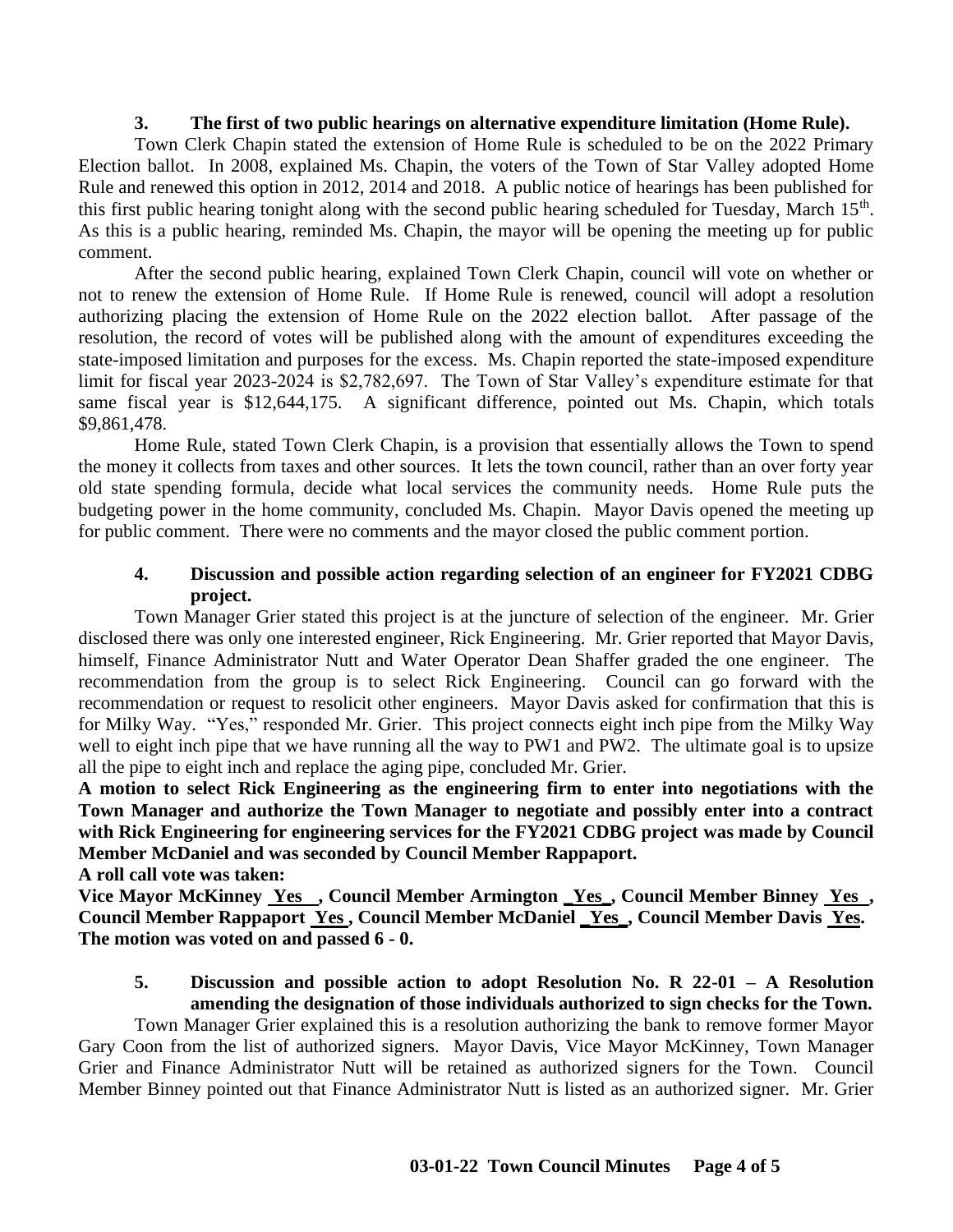### **3. The first of two public hearings on alternative expenditure limitation (Home Rule).**

Town Clerk Chapin stated the extension of Home Rule is scheduled to be on the 2022 Primary Election ballot. In 2008, explained Ms. Chapin, the voters of the Town of Star Valley adopted Home Rule and renewed this option in 2012, 2014 and 2018. A public notice of hearings has been published for this first public hearing tonight along with the second public hearing scheduled for Tuesday, March 15<sup>th</sup>. As this is a public hearing, reminded Ms. Chapin, the mayor will be opening the meeting up for public comment.

After the second public hearing, explained Town Clerk Chapin, council will vote on whether or not to renew the extension of Home Rule. If Home Rule is renewed, council will adopt a resolution authorizing placing the extension of Home Rule on the 2022 election ballot. After passage of the resolution, the record of votes will be published along with the amount of expenditures exceeding the state-imposed limitation and purposes for the excess. Ms. Chapin reported the state-imposed expenditure limit for fiscal year 2023-2024 is \$2,782,697. The Town of Star Valley's expenditure estimate for that same fiscal year is \$12,644,175. A significant difference, pointed out Ms. Chapin, which totals \$9,861,478.

Home Rule, stated Town Clerk Chapin, is a provision that essentially allows the Town to spend the money it collects from taxes and other sources. It lets the town council, rather than an over forty year old state spending formula, decide what local services the community needs. Home Rule puts the budgeting power in the home community, concluded Ms. Chapin. Mayor Davis opened the meeting up for public comment. There were no comments and the mayor closed the public comment portion.

## **4. Discussion and possible action regarding selection of an engineer for FY2021 CDBG project.**

Town Manager Grier stated this project is at the juncture of selection of the engineer. Mr. Grier disclosed there was only one interested engineer, Rick Engineering. Mr. Grier reported that Mayor Davis, himself, Finance Administrator Nutt and Water Operator Dean Shaffer graded the one engineer. The recommendation from the group is to select Rick Engineering. Council can go forward with the recommendation or request to resolicit other engineers. Mayor Davis asked for confirmation that this is for Milky Way. "Yes," responded Mr. Grier. This project connects eight inch pipe from the Milky Way well to eight inch pipe that we have running all the way to PW1 and PW2. The ultimate goal is to upsize all the pipe to eight inch and replace the aging pipe, concluded Mr. Grier.

**A motion to select Rick Engineering as the engineering firm to enter into negotiations with the Town Manager and authorize the Town Manager to negotiate and possibly enter into a contract with Rick Engineering for engineering services for the FY2021 CDBG project was made by Council Member McDaniel and was seconded by Council Member Rappaport.**

**A roll call vote was taken:**

**Vice Mayor McKinney Yes , Council Member Armington \_Yes\_, Council Member Binney Yes , Council Member Rappaport Yes , Council Member McDaniel \_Yes\_, Council Member Davis Yes. The motion was voted on and passed 6 - 0.**

## **5. Discussion and possible action to adopt Resolution No. R 22-01 – A Resolution amending the designation of those individuals authorized to sign checks for the Town.**

Town Manager Grier explained this is a resolution authorizing the bank to remove former Mayor Gary Coon from the list of authorized signers. Mayor Davis, Vice Mayor McKinney, Town Manager Grier and Finance Administrator Nutt will be retained as authorized signers for the Town. Council Member Binney pointed out that Finance Administrator Nutt is listed as an authorized signer. Mr. Grier